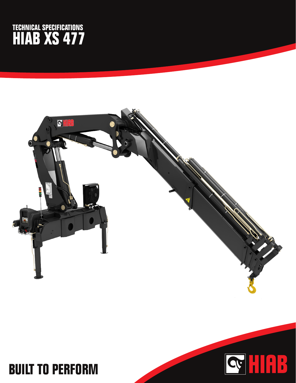## **TECHNICAL SPECIFICATIONS HIAB XS 477**